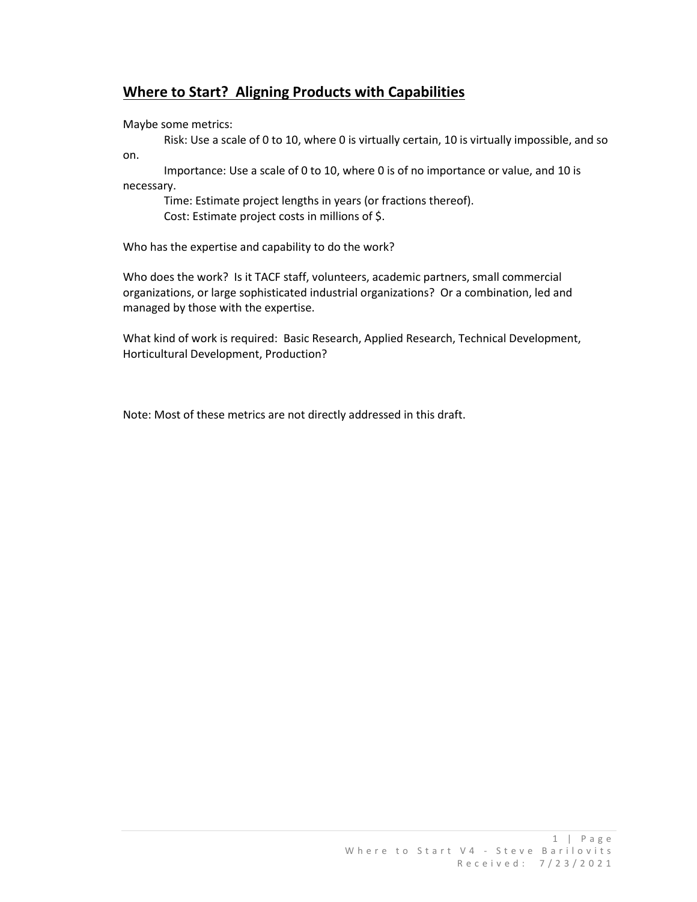## **Where to Start? Aligning Products with Capabilities**

Maybe some metrics:

Risk: Use a scale of 0 to 10, where 0 is virtually certain, 10 is virtually impossible, and so on.

Importance: Use a scale of 0 to 10, where 0 is of no importance or value, and 10 is necessary.

Time: Estimate project lengths in years (or fractions thereof). Cost: Estimate project costs in millions of \$.

Who has the expertise and capability to do the work?

Who does the work? Is it TACF staff, volunteers, academic partners, small commercial organizations, or large sophisticated industrial organizations? Or a combination, led and managed by those with the expertise.

What kind of work is required: Basic Research, Applied Research, Technical Development, Horticultural Development, Production?

Note: Most of these metrics are not directly addressed in this draft.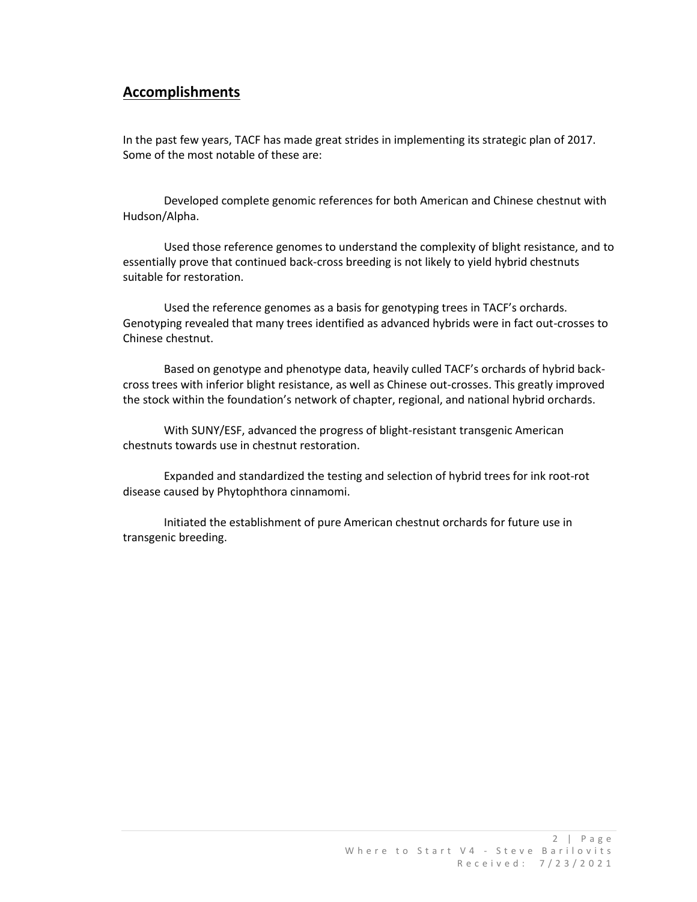### **Accomplishments**

In the past few years, TACF has made great strides in implementing its strategic plan of 2017. Some of the most notable of these are:

Developed complete genomic references for both American and Chinese chestnut with Hudson/Alpha.

Used those reference genomes to understand the complexity of blight resistance, and to essentially prove that continued back-cross breeding is not likely to yield hybrid chestnuts suitable for restoration.

Used the reference genomes as a basis for genotyping trees in TACF's orchards. Genotyping revealed that many trees identified as advanced hybrids were in fact out-crosses to Chinese chestnut.

Based on genotype and phenotype data, heavily culled TACF's orchards of hybrid backcross trees with inferior blight resistance, as well as Chinese out-crosses. This greatly improved the stock within the foundation's network of chapter, regional, and national hybrid orchards.

With SUNY/ESF, advanced the progress of blight-resistant transgenic American chestnuts towards use in chestnut restoration.

Expanded and standardized the testing and selection of hybrid trees for ink root-rot disease caused by Phytophthora cinnamomi.

Initiated the establishment of pure American chestnut orchards for future use in transgenic breeding.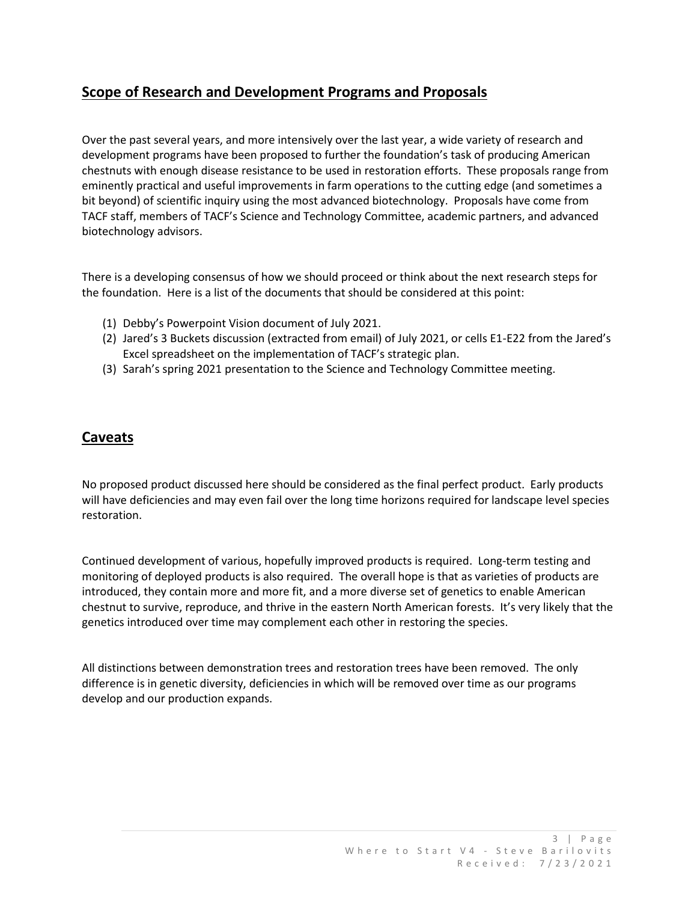# **Scope of Research and Development Programs and Proposals**

Over the past several years, and more intensively over the last year, a wide variety of research and development programs have been proposed to further the foundation's task of producing American chestnuts with enough disease resistance to be used in restoration efforts. These proposals range from eminently practical and useful improvements in farm operations to the cutting edge (and sometimes a bit beyond) of scientific inquiry using the most advanced biotechnology. Proposals have come from TACF staff, members of TACF's Science and Technology Committee, academic partners, and advanced biotechnology advisors.

There is a developing consensus of how we should proceed or think about the next research steps for the foundation. Here is a list of the documents that should be considered at this point:

- (1) Debby's Powerpoint Vision document of July 2021.
- (2) Jared's 3 Buckets discussion (extracted from email) of July 2021, or cells E1-E22 from the Jared's Excel spreadsheet on the implementation of TACF's strategic plan.
- (3) Sarah's spring 2021 presentation to the Science and Technology Committee meeting.

### **Caveats**

No proposed product discussed here should be considered as the final perfect product. Early products will have deficiencies and may even fail over the long time horizons required for landscape level species restoration.

Continued development of various, hopefully improved products is required. Long-term testing and monitoring of deployed products is also required. The overall hope is that as varieties of products are introduced, they contain more and more fit, and a more diverse set of genetics to enable American chestnut to survive, reproduce, and thrive in the eastern North American forests. It's very likely that the genetics introduced over time may complement each other in restoring the species.

All distinctions between demonstration trees and restoration trees have been removed. The only difference is in genetic diversity, deficiencies in which will be removed over time as our programs develop and our production expands.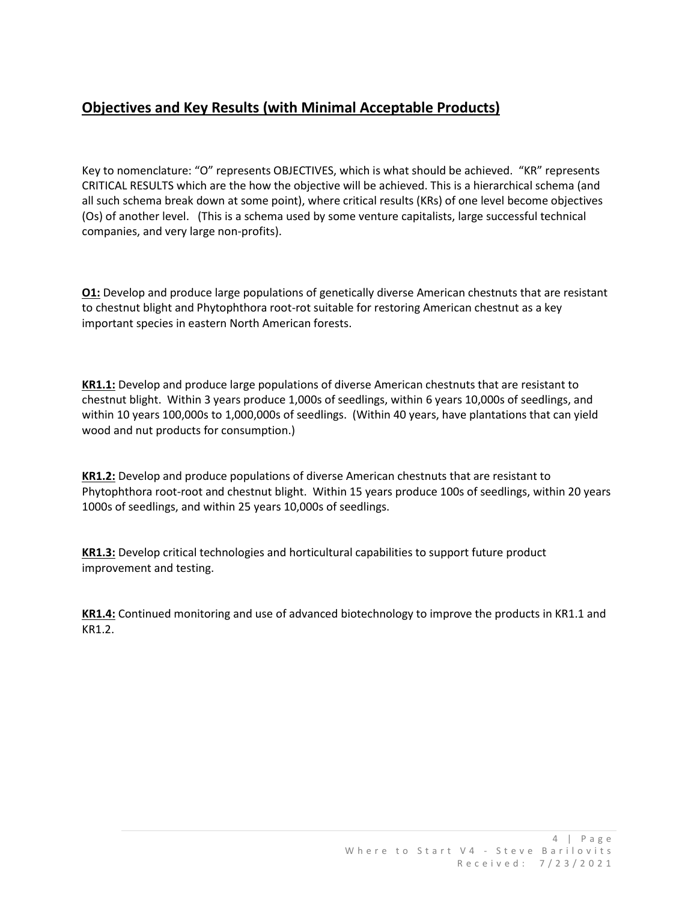# **Objectives and Key Results (with Minimal Acceptable Products)**

Key to nomenclature: "O" represents OBJECTIVES, which is what should be achieved. "KR" represents CRITICAL RESULTS which are the how the objective will be achieved. This is a hierarchical schema (and all such schema break down at some point), where critical results (KRs) of one level become objectives (Os) of another level. (This is a schema used by some venture capitalists, large successful technical companies, and very large non-profits).

**O1:** Develop and produce large populations of genetically diverse American chestnuts that are resistant to chestnut blight and Phytophthora root-rot suitable for restoring American chestnut as a key important species in eastern North American forests.

**KR1.1:** Develop and produce large populations of diverse American chestnuts that are resistant to chestnut blight. Within 3 years produce 1,000s of seedlings, within 6 years 10,000s of seedlings, and within 10 years 100,000s to 1,000,000s of seedlings. (Within 40 years, have plantations that can yield wood and nut products for consumption.)

**KR1.2:** Develop and produce populations of diverse American chestnuts that are resistant to Phytophthora root-root and chestnut blight. Within 15 years produce 100s of seedlings, within 20 years 1000s of seedlings, and within 25 years 10,000s of seedlings.

**KR1.3:** Develop critical technologies and horticultural capabilities to support future product improvement and testing.

**KR1.4:** Continued monitoring and use of advanced biotechnology to improve the products in KR1.1 and KR1.2.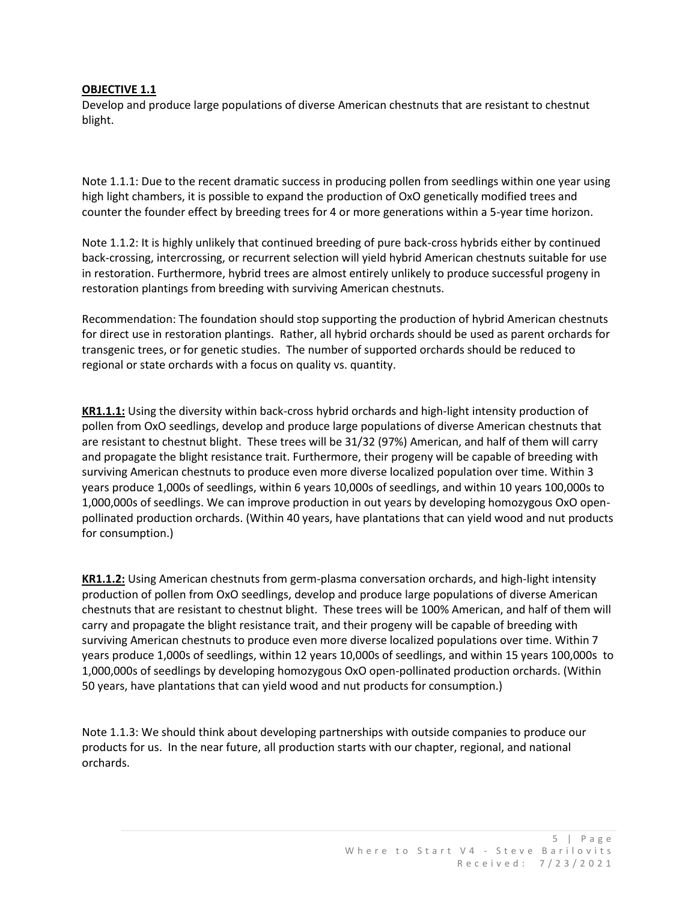#### **OBJECTIVE 1.1**

Develop and produce large populations of diverse American chestnuts that are resistant to chestnut blight.

Note 1.1.1: Due to the recent dramatic success in producing pollen from seedlings within one year using high light chambers, it is possible to expand the production of OxO genetically modified trees and counter the founder effect by breeding trees for 4 or more generations within a 5-year time horizon.

Note 1.1.2: It is highly unlikely that continued breeding of pure back-cross hybrids either by continued back-crossing, intercrossing, or recurrent selection will yield hybrid American chestnuts suitable for use in restoration. Furthermore, hybrid trees are almost entirely unlikely to produce successful progeny in restoration plantings from breeding with surviving American chestnuts.

Recommendation: The foundation should stop supporting the production of hybrid American chestnuts for direct use in restoration plantings. Rather, all hybrid orchards should be used as parent orchards for transgenic trees, or for genetic studies. The number of supported orchards should be reduced to regional or state orchards with a focus on quality vs. quantity.

**KR1.1.1:** Using the diversity within back-cross hybrid orchards and high-light intensity production of pollen from OxO seedlings, develop and produce large populations of diverse American chestnuts that are resistant to chestnut blight. These trees will be 31/32 (97%) American, and half of them will carry and propagate the blight resistance trait. Furthermore, their progeny will be capable of breeding with surviving American chestnuts to produce even more diverse localized population over time. Within 3 years produce 1,000s of seedlings, within 6 years 10,000s of seedlings, and within 10 years 100,000s to 1,000,000s of seedlings. We can improve production in out years by developing homozygous OxO openpollinated production orchards. (Within 40 years, have plantations that can yield wood and nut products for consumption.)

**KR1.1.2:** Using American chestnuts from germ-plasma conversation orchards, and high-light intensity production of pollen from OxO seedlings, develop and produce large populations of diverse American chestnuts that are resistant to chestnut blight. These trees will be 100% American, and half of them will carry and propagate the blight resistance trait, and their progeny will be capable of breeding with surviving American chestnuts to produce even more diverse localized populations over time. Within 7 years produce 1,000s of seedlings, within 12 years 10,000s of seedlings, and within 15 years 100,000s to 1,000,000s of seedlings by developing homozygous OxO open-pollinated production orchards. (Within 50 years, have plantations that can yield wood and nut products for consumption.)

Note 1.1.3: We should think about developing partnerships with outside companies to produce our products for us. In the near future, all production starts with our chapter, regional, and national orchards.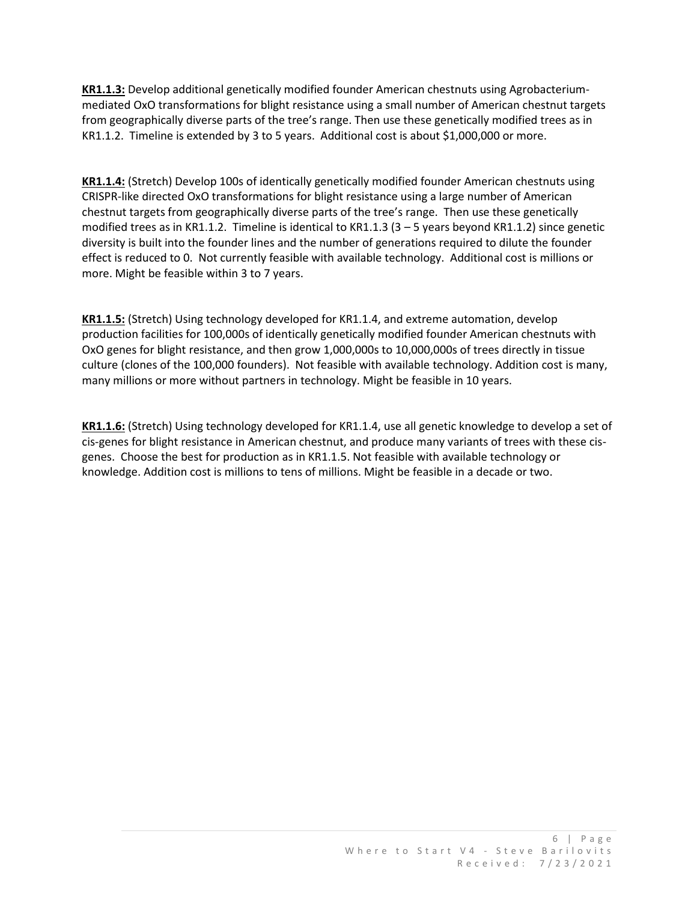**KR1.1.3:** Develop additional genetically modified founder American chestnuts using Agrobacteriummediated OxO transformations for blight resistance using a small number of American chestnut targets from geographically diverse parts of the tree's range. Then use these genetically modified trees as in KR1.1.2. Timeline is extended by 3 to 5 years. Additional cost is about \$1,000,000 or more.

**KR1.1.4:** (Stretch) Develop 100s of identically genetically modified founder American chestnuts using CRISPR-like directed OxO transformations for blight resistance using a large number of American chestnut targets from geographically diverse parts of the tree's range. Then use these genetically modified trees as in KR1.1.2. Timeline is identical to KR1.1.3 (3 – 5 years beyond KR1.1.2) since genetic diversity is built into the founder lines and the number of generations required to dilute the founder effect is reduced to 0. Not currently feasible with available technology. Additional cost is millions or more. Might be feasible within 3 to 7 years.

**KR1.1.5:** (Stretch) Using technology developed for KR1.1.4, and extreme automation, develop production facilities for 100,000s of identically genetically modified founder American chestnuts with OxO genes for blight resistance, and then grow 1,000,000s to 10,000,000s of trees directly in tissue culture (clones of the 100,000 founders). Not feasible with available technology. Addition cost is many, many millions or more without partners in technology. Might be feasible in 10 years.

**KR1.1.6:** (Stretch) Using technology developed for KR1.1.4, use all genetic knowledge to develop a set of cis-genes for blight resistance in American chestnut, and produce many variants of trees with these cisgenes. Choose the best for production as in KR1.1.5. Not feasible with available technology or knowledge. Addition cost is millions to tens of millions. Might be feasible in a decade or two.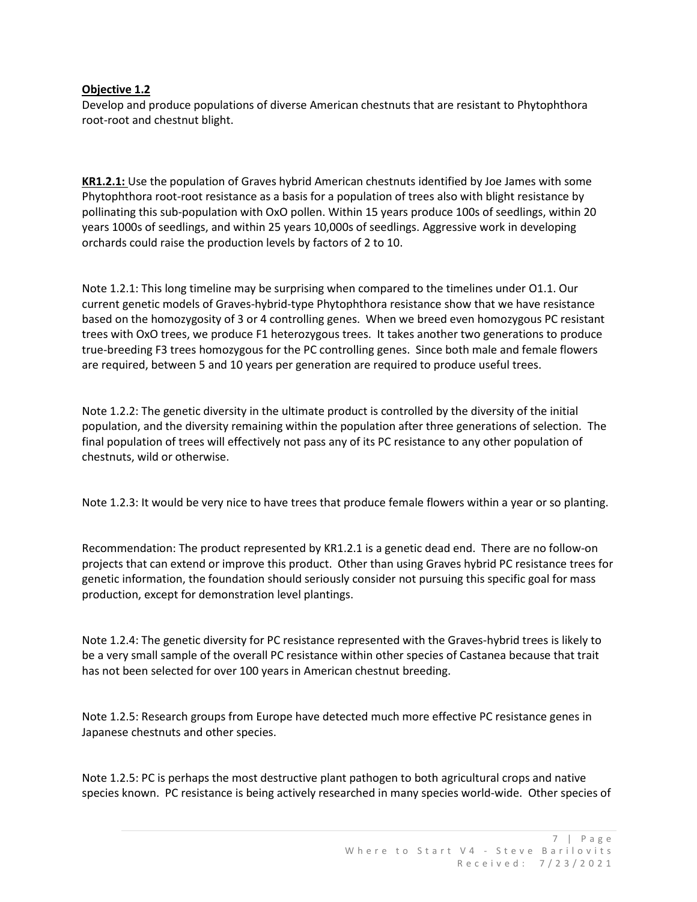#### **Objective 1.2**

Develop and produce populations of diverse American chestnuts that are resistant to Phytophthora root-root and chestnut blight.

**KR1.2.1:** Use the population of Graves hybrid American chestnuts identified by Joe James with some Phytophthora root-root resistance as a basis for a population of trees also with blight resistance by pollinating this sub-population with OxO pollen. Within 15 years produce 100s of seedlings, within 20 years 1000s of seedlings, and within 25 years 10,000s of seedlings. Aggressive work in developing orchards could raise the production levels by factors of 2 to 10.

Note 1.2.1: This long timeline may be surprising when compared to the timelines under O1.1. Our current genetic models of Graves-hybrid-type Phytophthora resistance show that we have resistance based on the homozygosity of 3 or 4 controlling genes. When we breed even homozygous PC resistant trees with OxO trees, we produce F1 heterozygous trees. It takes another two generations to produce true-breeding F3 trees homozygous for the PC controlling genes. Since both male and female flowers are required, between 5 and 10 years per generation are required to produce useful trees.

Note 1.2.2: The genetic diversity in the ultimate product is controlled by the diversity of the initial population, and the diversity remaining within the population after three generations of selection. The final population of trees will effectively not pass any of its PC resistance to any other population of chestnuts, wild or otherwise.

Note 1.2.3: It would be very nice to have trees that produce female flowers within a year or so planting.

Recommendation: The product represented by KR1.2.1 is a genetic dead end. There are no follow-on projects that can extend or improve this product. Other than using Graves hybrid PC resistance trees for genetic information, the foundation should seriously consider not pursuing this specific goal for mass production, except for demonstration level plantings.

Note 1.2.4: The genetic diversity for PC resistance represented with the Graves-hybrid trees is likely to be a very small sample of the overall PC resistance within other species of Castanea because that trait has not been selected for over 100 years in American chestnut breeding.

Note 1.2.5: Research groups from Europe have detected much more effective PC resistance genes in Japanese chestnuts and other species.

Note 1.2.5: PC is perhaps the most destructive plant pathogen to both agricultural crops and native species known. PC resistance is being actively researched in many species world-wide. Other species of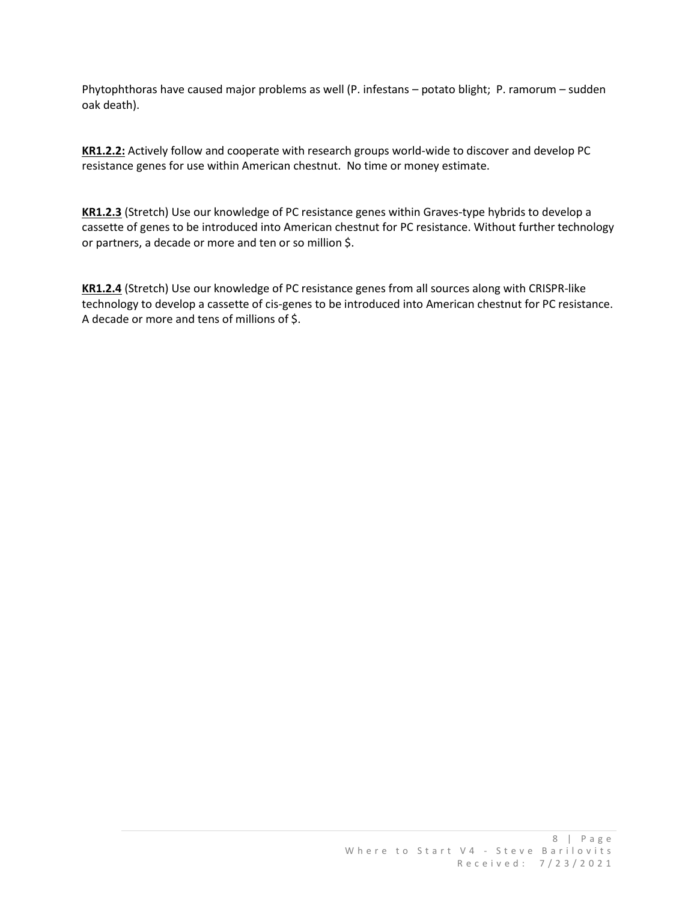Phytophthoras have caused major problems as well (P. infestans – potato blight; P. ramorum – sudden oak death).

**KR1.2.2:** Actively follow and cooperate with research groups world-wide to discover and develop PC resistance genes for use within American chestnut. No time or money estimate.

**KR1.2.3** (Stretch) Use our knowledge of PC resistance genes within Graves-type hybrids to develop a cassette of genes to be introduced into American chestnut for PC resistance. Without further technology or partners, a decade or more and ten or so million \$.

**KR1.2.4** (Stretch) Use our knowledge of PC resistance genes from all sources along with CRISPR-like technology to develop a cassette of cis-genes to be introduced into American chestnut for PC resistance. A decade or more and tens of millions of \$.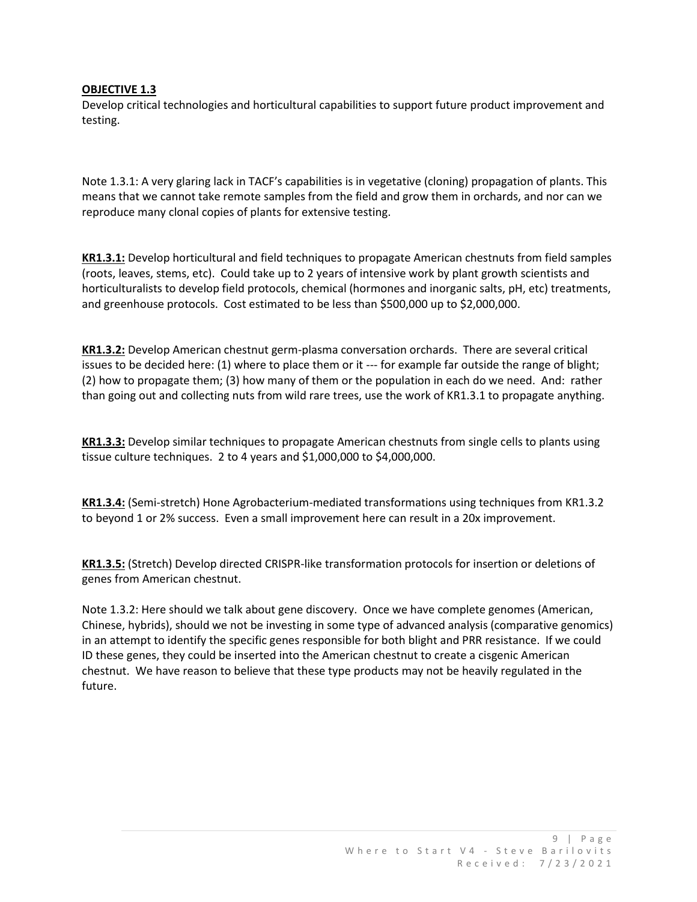#### **OBJECTIVE 1.3**

Develop critical technologies and horticultural capabilities to support future product improvement and testing.

Note 1.3.1: A very glaring lack in TACF's capabilities is in vegetative (cloning) propagation of plants. This means that we cannot take remote samples from the field and grow them in orchards, and nor can we reproduce many clonal copies of plants for extensive testing.

**KR1.3.1:** Develop horticultural and field techniques to propagate American chestnuts from field samples (roots, leaves, stems, etc). Could take up to 2 years of intensive work by plant growth scientists and horticulturalists to develop field protocols, chemical (hormones and inorganic salts, pH, etc) treatments, and greenhouse protocols. Cost estimated to be less than \$500,000 up to \$2,000,000.

**KR1.3.2:** Develop American chestnut germ-plasma conversation orchards. There are several critical issues to be decided here: (1) where to place them or it --- for example far outside the range of blight; (2) how to propagate them; (3) how many of them or the population in each do we need. And: rather than going out and collecting nuts from wild rare trees, use the work of KR1.3.1 to propagate anything.

**KR1.3.3:** Develop similar techniques to propagate American chestnuts from single cells to plants using tissue culture techniques. 2 to 4 years and \$1,000,000 to \$4,000,000.

**KR1.3.4:** (Semi-stretch) Hone Agrobacterium-mediated transformations using techniques from KR1.3.2 to beyond 1 or 2% success. Even a small improvement here can result in a 20x improvement.

**KR1.3.5:** (Stretch) Develop directed CRISPR-like transformation protocols for insertion or deletions of genes from American chestnut.

Note 1.3.2: Here should we talk about gene discovery. Once we have complete genomes (American, Chinese, hybrids), should we not be investing in some type of advanced analysis (comparative genomics) in an attempt to identify the specific genes responsible for both blight and PRR resistance. If we could ID these genes, they could be inserted into the American chestnut to create a cisgenic American chestnut. We have reason to believe that these type products may not be heavily regulated in the future.